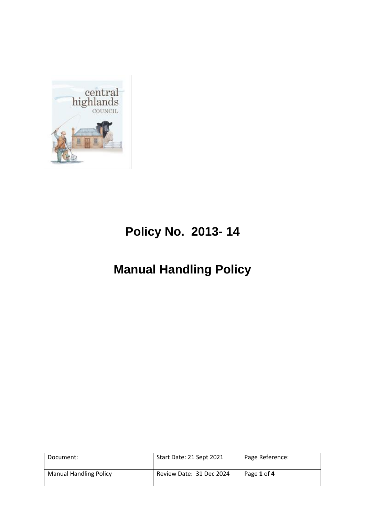

# **Policy No. 2013- 14**

# **Manual Handling Policy**

| Document:                     | Start Date: 21 Sept 2021 | Page Reference: |
|-------------------------------|--------------------------|-----------------|
| <b>Manual Handling Policy</b> | Review Date: 31 Dec 2024 | Page 1 of 4     |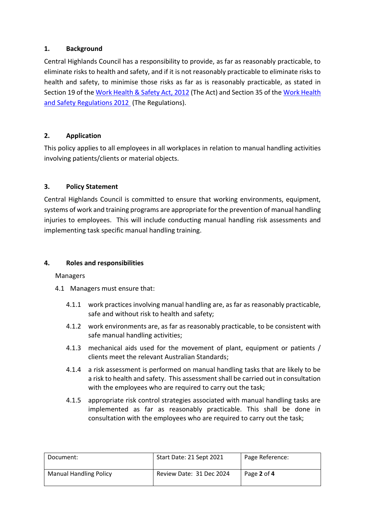## **1. Background**

Central Highlands Council has a responsibility to provide, as far as reasonably practicable, to eliminate risks to health and safety, and if it is not reasonably practicable to eliminate risks to health and safety, to minimise those risks as far as is reasonably practicable, as stated in Section 19 of the Work Health & Safety Act, 2012 (The Act) and Section 35 of the Work Health and Safety Regulations 2012 (The Regulations).

## **2. Application**

This policy applies to all employees in all workplaces in relation to manual handling activities involving patients/clients or material objects.

## **3. Policy Statement**

Central Highlands Council is committed to ensure that working environments, equipment, systems of work and training programs are appropriate for the prevention of manual handling injuries to employees. This will include conducting manual handling risk assessments and implementing task specific manual handling training.

#### **4. Roles and responsibilities**

#### Managers

- 4.1 Managers must ensure that:
	- 4.1.1 work practices involving manual handling are, as far as reasonably practicable, safe and without risk to health and safety;
	- 4.1.2 work environments are, as far as reasonably practicable, to be consistent with safe manual handling activities;
	- 4.1.3 mechanical aids used for the movement of plant, equipment or patients / clients meet the relevant Australian Standards;
	- 4.1.4 a risk assessment is performed on manual handling tasks that are likely to be a risk to health and safety. This assessment shall be carried out in consultation with the employees who are required to carry out the task;
	- 4.1.5 appropriate risk control strategies associated with manual handling tasks are implemented as far as reasonably practicable. This shall be done in consultation with the employees who are required to carry out the task;

| Document:                     | Start Date: 21 Sept 2021 | Page Reference: |
|-------------------------------|--------------------------|-----------------|
| <b>Manual Handling Policy</b> | Review Date: 31 Dec 2024 | Page 2 of 4     |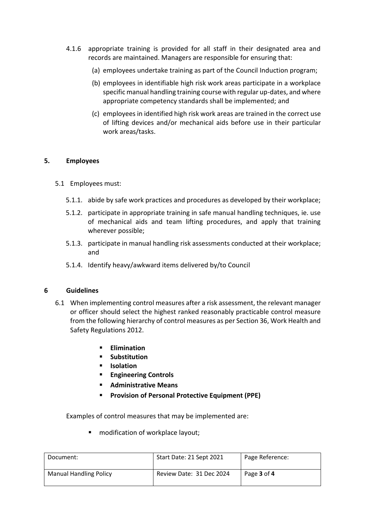- 4.1.6 appropriate training is provided for all staff in their designated area and records are maintained. Managers are responsible for ensuring that:
	- (a) employees undertake training as part of the Council Induction program;
	- (b) employees in identifiable high risk work areas participate in a workplace specific manual handling training course with regular up-dates, and where appropriate competency standards shall be implemented; and
	- (c) employees in identified high risk work areas are trained in the correct use of lifting devices and/or mechanical aids before use in their particular work areas/tasks.

#### **5. Employees**

- 5.1 Employees must:
	- 5.1.1. abide by safe work practices and procedures as developed by their workplace;
	- 5.1.2. participate in appropriate training in safe manual handling techniques, ie. use of mechanical aids and team lifting procedures, and apply that training wherever possible;
	- 5.1.3. participate in manual handling risk assessments conducted at their workplace; and
	- 5.1.4. Identify heavy/awkward items delivered by/to Council

#### **6 Guidelines**

- 6.1 When implementing control measures after a risk assessment, the relevant manager or officer should select the highest ranked reasonably practicable control measure from the following hierarchy of control measures as per Section 36, Work Health and Safety Regulations 2012.
	- **Elimination**
	- **Substitution**
	- **Isolation**
	- **Engineering Controls**
	- **Administrative Means**
	- **Provision of Personal Protective Equipment (PPE)**

Examples of control measures that may be implemented are:

■ modification of workplace layout;

| Document:                     | Start Date: 21 Sept 2021 | Page Reference: |
|-------------------------------|--------------------------|-----------------|
| <b>Manual Handling Policy</b> | Review Date: 31 Dec 2024 | Page 3 of 4     |